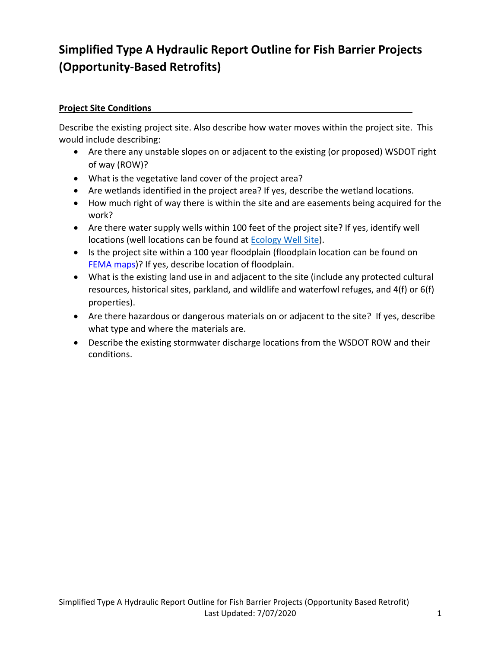# **Simplified Type A Hydraulic Report Outline for Fish Barrier Projects (Opportunity-Based Retrofits)**

## **Project Site Conditions**

Describe the existing project site. Also describe how water moves within the project site. This would include describing:

- Are there any unstable slopes on or adjacent to the existing (or proposed) WSDOT right of way (ROW)?
- What is the vegetative land cover of the project area?
- Are wetlands identified in the project area? If yes, describe the wetland locations.
- How much right of way there is within the site and are easements being acquired for the work?
- Are there water supply wells within 100 feet of the project site? If yes, identify well locations (well locations can be found at [Ecology Well Site\)](http://www.ecy.wa.gov/programs/wr/wells/wellhome.html).
- Is the project site within a 100 year floodplain (floodplain location can be found on [FEMA maps\)](https://msc.fema.gov/portal/home)? If yes, describe location of floodplain.
- What is the existing land use in and adjacent to the site (include any protected cultural resources, historical sites, parkland, and wildlife and waterfowl refuges, and 4(f) or 6(f) properties).
- Are there hazardous or dangerous materials on or adjacent to the site? If yes, describe what type and where the materials are.
- Describe the existing stormwater discharge locations from the WSDOT ROW and their conditions.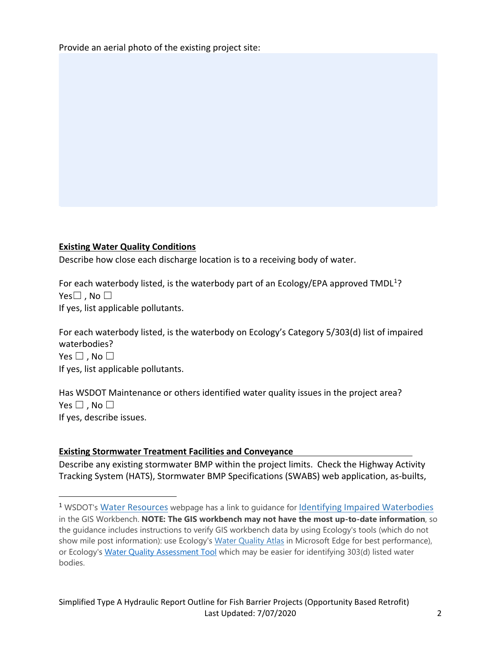Provide an aerial photo of the existing project site:

#### **Existing Water Quality Conditions**

 $\overline{a}$ 

Describe how close each discharge location is to a receiving body of water.

For each waterbody listed, is the waterbody part of an Ecology/EPA approved TMDL<sup>1</sup>? Yes $\square$ , No  $\square$ If yes, list applicable pollutants.

For each waterbody listed, is the waterbody on Ecology's Category 5/303(d) list of impaired waterbodies? Yes  $\square$  . No  $\square$ If yes, list applicable pollutants.

Has WSDOT Maintenance or others identified water quality issues in the project area? Yes  $\square$ , No  $\square$ If yes, describe issues.

### **Existing Stormwater Treatment Facilities and Conveyance**

Describe any existing stormwater BMP within the project limits. Check the Highway Activity Tracking System (HATS), Stormwater BMP Specifications (SWABS) web application, as-builts,

<span id="page-1-0"></span><sup>&</sup>lt;sup>1</sup> WSDOT's [Water Resources](https://www.wsdot.wa.gov/environment/technical/disciplines/water-erosion/water-policies-procedures) webpage has a link to guidance for [Identifying Impaired Waterbodies](https://www.wsdot.wa.gov/sites/default/files/2018/03/05/Env-StormW-IdentifyWaterBodiesForERS.pdf) in the GIS Workbench. **NOTE: The GIS workbench may not have the most up-to-date information**, so the guidance includes instructions to verify GIS workbench data by using Ecology's tools (which do not show mile post information): use Ecology's [Water Quality Atlas](https://fortress.wa.gov/ecy/waterqualityatlas/map.aspx) in Microsoft Edge for best performance), or Ecology's [Water Quality Assessment Tool](https://ecology.wa.gov/Water-Shorelines/Water-quality/Water-improvement/Assessment-of-state-waters-303d) which may be easier for identifying 303(d) listed water bodies.